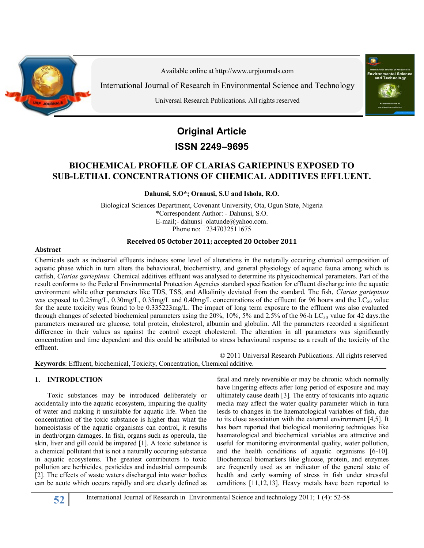

Available online at http:/[/www.urpjournals.com](http://www.urpjournals.com/)

International Journal of Research in Environmental Science and Technology

Universal Research Publications. All rights reserved



# **Original Article**

# **ISSN 2249–9695**

# **BIOCHEMICAL PROFILE OF CLARIAS GARIEPINUS EXPOSED TO SUB-LETHAL CONCENTRATIONS OF CHEMICAL ADDITIVES EFFLUENT.**

**Dahunsi, S.O\*; Oranusi, S.U and Ishola, R.O.**

Biological Sciences Department, Covenant University, Ota, Ogun State, Nigeria \*Correspondent Author: - Dahunsi, S.O. E-mail;- [dahunsi\\_olatunde@yahoo.com.](mailto:dahunsi_olatunde@yahoo.com) Phone no: +2347032511675

## **Received 05 October 2011; accepted 20 October 2011**

#### **Abstract**

Chemicals such as industrial effluents induces some level of alterations in the naturally occuring chemical composition of aquatic phase which in turn alters the behavioural, biochemistry, and general physiology of aquatic fauna among which is catfish, *Clarias gariepinus.* Chemical additives effluent was analysed to determine its physicochemical parameters. Part of the result conforms to the Federal Environmental Protection Agencies standard specification for effluent discharge into the aquatic environment while other parameters like TDS, TSS, and Alkalinity deviated from the standard. The fish, *Clarias gariepinus* was exposed to  $0.25$ mg/L,  $0.30$ mg/L,  $0.35$ mg/L and  $0.40$ mg/L concentrations of the effluent for 96 hours and the LC<sub>50</sub> value for the acute toxicity was found to be 0.335223mg/L. The impact of long term exposure to the effluent was also evaluated through changes of selected biochemical parameters using the  $20\%$ , 10%,  $5\%$  and 2.5% of the 96-h LC<sub>50</sub> value for 42 days.the parameters measured are glucose, total protein, cholesterol, albumin and globulin. All the parameters recorded a significant difference in their values as against the control except cholesterol. The alteration in all parameters was significantly concentration and time dependent and this could be attributed to stress behavioural response as a result of the toxicity of the effluent.

 © 2011 Universal Research Publications. All rights reserved **Keywords**: Effluent, biochemical, Toxicity, Concentration, Chemical additive.

#### **1. INTRODUCTION**

Toxic substances may be introduced deliberately or accidentally into the aquatic ecosystem, impairing the quality of water and making it unsuitable for aquatic life. When the concentration of the toxic substance is higher than what the homeoistasis of the aquatic organisms can control, it results in death/organ damages. In fish, organs such as opercula, the skin, liver and gill could be impared [1]. A toxic substance is a chemical pollutant that is not a naturally occuring substance in aquatic ecosystems. The greatest contributors to toxic pollution are herbicides, pesticides and industrial compounds [2]. The effects of waste waters discharged into water bodies can be acute which occurs rapidly and are clearly defined as

fatal and rarely reversible or may be chronic which normally have lingering effects after long period of exposure and may ultimately cause death [3]. The entry of toxicants into aquatic media may affect the water quality parameter which in turn lesds to changes in the haematological variables of fish, due to its close association with the external environment [4,5]. It has been reported that biological monitoring techniques like haematological and biochemical variables are attractive and useful for monitoring environmental quality, water pollution, and the health conditions of aquatic organisms [6-10]. Biochemical biomarkers like glucose, protein, and enzymes are frequently used as an indicator of the general state of health and early warning of stress in fish under stressful conditions [11,12,13]. Heavy metals have been reported to

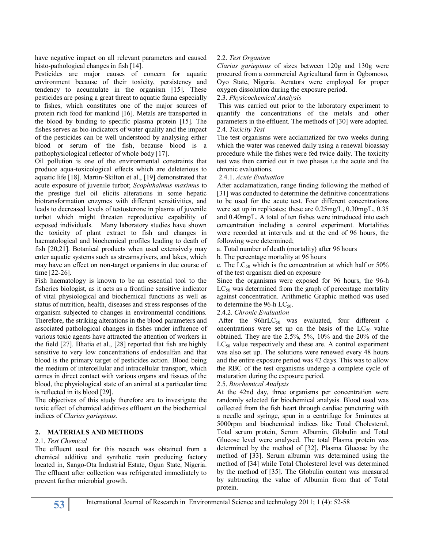have negative impact on all relevant parameters and caused histo-pathological changes in fish [14].

Pesticides are major causes of concern for aquatic environment because of their toxicity, persistency and tendency to accumulate in the organism [15]. These pesticides are posing a great threat to aquatic fauna especially to fishes, which constitutes one of the major sources of protein rich food for mankind [16]. Metals are transported in the blood by binding to specific plasma protein [15]. The fishes serves as bio-indicators of water quality and the impact of the pesticides can be well understood by analysing either blood or serum of the fish, because blood is a pathophysiological reflector of whole body [17].

Oil pollution is one of the environmental constraints that produce aqua-toxicological effects which are deleterious to aquatic life [18]. Martin-Skilton et al., [19] demonstrated that acute exposure of juvenile turbot; *Scophthalmus maximus* to the prestige fuel oil elicits alterations in some hepatic biotransformation enzymes with different sensitivities, and leads to decreased levels of testosterone in plasma of juvenile turbot which might threaten reproductive capability of exposed individuals. Many laboratory studies have shown the toxicity of plant extract to fish and changes in haematological and biochemical profiles leading to death of fish [20,21]. Botanical products when used extensively may enter aquatic systems such as streams,rivers, and lakes, which may have an effect on non-target organisms in due course of time [22-26].

Fish haematology is known to be an essential tool to the fisheries biologist, as it acts as a frontline sensitive indicator of vital physiological and biochemical functions as well as status of nutrition, health, diseases and stress responses of the organism subjected to changes in environmental conditions. Therefore, the striking alterations in the blood parameters and associated pathological changes in fishes under influence of various toxic agents have attracted the attention of workers in the field [27]. Bhatia et al., [28] reported that fish are highly sensitive to very low concentrations of endosulfan and that blood is the primary target of pesticides action. Blood being the medium of intercellular and intracellular transport, which comes in direct contact with various organs and tissues of the blood, the physiological state of an animal at a particular time is reflected in its blood [29].

The objectives of this study therefore are to investigate the toxic effect of chemical additives effluent on the biochemical indices of *Clarias gariepinus.*

#### **2. MATERIALS AND METHODS**

#### 2.1. *Test Chemical*

The effluent used for this reseach was obtained from a chemical additive and synthetic resin producing factory located in, Sango-Ota Industrial Estate, Ogun State, Nigeria. The effluent after collection was refrigerated immediately to prevent further microbial growth.

### 2.2. *Test Organism*

*Clarias gariepinus* of sizes between 120g and 130g were procured from a commercial Agricultural farm in Ogbomoso, Oyo State, Nigeria. Aerators were employed for proper oxygen dissolution during the exposure period.

#### 2.3. *Physicochemical Analysis*

This was carried out prior to the laboratory experiment to quantify the concentrations of the metals and other parameters in the effluent. The methods of [30] were adopted. 2.4. *Toxicity Test*

The test organisms were acclamatized for two weeks during which the water was renewed daily using a renewal bioassay procedure while the fishes were fed twice daily. The toxicity test was then carried out in two phases i.e the acute and the chronic evaluations.

#### 2.4.1. *Acute Evaluation*

After acclamatization, range finding following the method of [31] was conducted to determine the definitive concentrations to be used for the acute test. Four different concentrations were set up in replicates; these are 0.25mg/L, 0.30mg/L, 0.35 and 0.40mg/L. A total of ten fishes were introduced into each concentration including a control experiment. Mortalities were recorded at intervals and at the end of 96 hours, the following were determined;

a. Total number of death (mortality) after 96 hours

b. The percentage mortality at 96 hours

c. The  $LC_{50}$  which is the concentration at which half or 50% of the test organism died on exposure

Since the organisms were exposed for 96 hours, the 96-h  $LC_{50}$  was determined from the graph of percentage mortality against concentration. Arithmetic Graphic method was used to determine the 96-h  $LC_{50}$ .

#### 2.4.2. *Chronic Evaluation*

After the  $96$ hrLC<sub>50</sub> was evaluated, four different c oncentrations were set up on the basis of the  $LC_{50}$  value obtained. They are the 2.5%, 5%, 10% and the 20% of the  $LC_{50}$  value respectively and these are. A control experiment was also set up. The solutions were renewed every 48 hours and the entire exposure period was 42 days. This was to allow the RBC of the test organisms undergo a complete cycle of maturation during the exposure period.

#### 2.5. *Biochemical Analysis*

At the 42nd day, three organisms per concentration were randomly selected for biochemical analysis. Blood used was collected from the fish heart through cardiac puncturing with a needle and syringe, spun in a centrifuge for 5minutes at 5000rpm and biochemical indices like Total Cholesterol, Total serum protein, Serum Albumin, Globulin and Total Glucose level were analysed. The total Plasma protein was determined by the method of [32], Plasma Glucose by the method of [33]. Serum albumin was determined using the method of [34] while Total Cholesterol level was determined by the method of [35]. The Globulin content was measured by subtracting the value of Albumin from that of Total protein.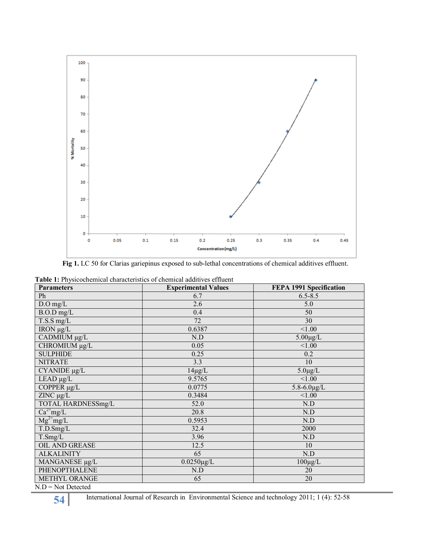

**Fig 1.** LC 50 for Clarias gariepinus exposed to sub-lethal concentrations of chemical additives effluent.

| <b>Parameters</b>                                                                             | <b>Experimental Values</b> | FEPA 1991 Specification |  |
|-----------------------------------------------------------------------------------------------|----------------------------|-------------------------|--|
| Ph                                                                                            | 6.7                        | $6.5 - 8.5$             |  |
| $D.O$ mg/L                                                                                    | 2.6                        | 5.0                     |  |
| $B.O.D$ mg/L                                                                                  | 0.4                        | 50                      |  |
| T.S.S mg/L                                                                                    | 72                         | 30                      |  |
| IRON µg/L                                                                                     | 0.6387                     | < 1.00                  |  |
| CADMIUM µg/L                                                                                  | N.D                        | $5.00 \mu g/L$          |  |
| CHROMIUM µg/L                                                                                 | 0.05                       | < 1.00                  |  |
| <b>SULPHIDE</b>                                                                               | 0.25                       | 0.2                     |  |
| <b>NITRATE</b>                                                                                | 3.3                        | 10                      |  |
| $\overline{CYANIDE}$ µg/L                                                                     | $14\mu g/L$                | $5.0 \mu g/L$           |  |
| $LEAD \mu g/L$                                                                                | 9.5765                     | < 1.00                  |  |
| COPPER µg/L                                                                                   | 0.0775                     | $5.8 - 6.0 \mu g/L$     |  |
| $ZINC \mu g/L$                                                                                | 0.3484                     | < 1.00                  |  |
| TOTAL HARDNESSmg/L                                                                            | 52.0                       | N.D                     |  |
| $Ca^{2+}mg/L$                                                                                 | 20.8                       | N.D                     |  |
| $Mg^{2+}mg/L$                                                                                 | 0.5953                     | N.D                     |  |
| T.D.Smg/L                                                                                     | 32.4                       | 2000                    |  |
| T.Smg/L                                                                                       | 3.96                       | N.D                     |  |
| <b>OIL AND GREASE</b>                                                                         | 12.5                       | 10                      |  |
| <b>ALKALINITY</b>                                                                             | 65                         | N.D                     |  |
| MANGANESE µg/L                                                                                | $0.0250 \mu g/L$           | $100\mu\text{g/L}$      |  |
| PHENOPTHALENE                                                                                 | N.D                        | 20                      |  |
| <b>METHYL ORANGE</b><br>$\overline{M} \overline{D} = \overline{M}_{ab} \overline{D}_{ababab}$ | 65                         | 20                      |  |

**Table 1:** Physicochemical characteristics of chemical additives effluent

 $N.D = Not$  Detected

**54** International Journal of Research in Environmental Science and technology 2011; 1 (4): 52-58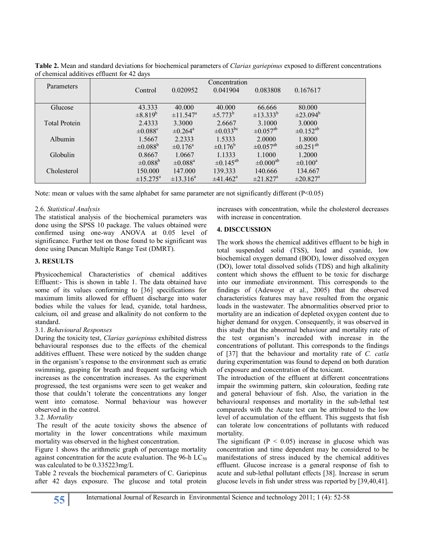|                      |                          |                          | Concentration        |                           |                           |  |
|----------------------|--------------------------|--------------------------|----------------------|---------------------------|---------------------------|--|
| Parameters           | Control                  | 0.020952                 | 0.041904             | 0.083808                  | 0.167617                  |  |
|                      |                          |                          |                      |                           |                           |  |
| Glucose              | 43.333                   | 40,000                   | 40.000               | 66.666                    | 80,000                    |  |
|                      | $\pm 8.819^b$            | $\pm 11.547^{\rm a}$     | $\pm 5.773^b$        | $\pm$ 13.333 <sup>b</sup> | $\pm 23.094^b$            |  |
| <b>Total Protein</b> | 2.4333                   | 3.3000                   | 2.6667               | 3.1000                    | 3.0000                    |  |
|                      | $\pm 0.088$ <sup>c</sup> | $\pm 0.264^{\rm a}$      | $\pm 0.033^{bc}$     | $\pm 0.057$ <sup>ab</sup> | $\pm 0.152^{ab}$          |  |
| Albumin              | 1.5667                   | 2.2333                   | 1.5333               | 2.0000                    | 1.8000                    |  |
|                      | $\pm 0.088^{\rm b}$      | $\pm 0.176^{\circ}$      | $\pm 0.176^{\rm b}$  | $\pm 0.057$ <sup>ab</sup> | $\pm 0.251^{ab}$          |  |
| <b>Globulin</b>      | 0.8667                   | 1.0667                   | 1.1333               | 1.1000                    | 1.2000                    |  |
|                      | $\pm 0.088^{\rm b}$      | $\pm 0.088$ <sup>a</sup> | $\pm 0.145^{ab}$     | $\pm 0.000$ <sup>ab</sup> | $\pm 0.100^a$             |  |
| Cholesterol          | 150,000                  | 147.000                  | 139.333              | 140.666                   | 134.667                   |  |
|                      | $\pm 15.275^{\rm a}$     | $\pm 13.316^a$           | $\pm 41.462^{\circ}$ | $\pm 21.827$ <sup>a</sup> | $\pm 20.827$ <sup>a</sup> |  |

**Table 2.** Mean and standard deviations for biochemical parameters of *Clarias gariepinus* exposed to different concentrations of chemical additives effluent for 42 days

Note: mean or values with the same alphabet for same parameter are not significantly different  $(P<0.05)$ 

#### 2.6. *Statistical Analysis*

The statistical analysis of the biochemical parameters was done using the SPSS 10 package. The values obtained were confirmed using one-way ANOVA at 0.05 level of significance. Further test on those found to be significant was done using Duncan Multiple Range Test (DMRT).

#### **3. RESULTS**

Physicochemical Characteristics of chemical additives Effluent:- This is shown in table 1. The data obtained have some of its values conforming to [36] specifications for maximum limits allowed for effluent discharge into water bodies while the values for lead, cyanide, total hardness, calcium, oil and grease and alkalinity do not conform to the standard.

#### 3.1. *Behavioural Responses*

During the toxicity test, *Clarias gariepinus* exhibited distress behavioural responses due to the effects of the chemical additives effluent. These were noticed by the sudden change in the organism's response to the environment such as erratic swimming, gasping for breath and frequent surfacing which increases as the concentration increases. As the experiment progressed, the test organisms were seen to get weaker and those that couldn't tolerate the concentrations any longer went into comatose. Normal behaviour was however observed in the control.

#### 3.2. *Mortality*

The result of the acute toxicity shows the absence of mortality in the lower concentrations while maximum mortality was observed in the highest concentration.

Figure 1 shows the arithmetic graph of percentage mortality against concentration for the acute evaluation. The 96-h  $LC_{50}$ was calculated to be 0.335223mg/L

Table 2 reveals the biochemical parameters of C. Gariepinus after 42 days exposure. The glucose and total protein

increases with concentration, while the cholesterol decreases with increase in concentration.

#### **4. DISCCUSSION**

The work shows the chemical additives effluent to be high in total suspended solid (TSS), lead and cyanide, low biochemical oxygen demand (BOD), lower dissolved oxygen (DO), lower total dissolved solids (TDS) and high alkalinity content which shows the effluent to be toxic for discharge into our immediate environment. This corresponds to the findings of (Adewoye et al., 2005) that the observed characteristics features may have resulted from the organic loads in the wastewater. The abnormalities observed prior to mortality are an indication of depleted oxygen content due to higher demand for oxygen. Consequently, it was observed in this study that the abnormal behaviour and mortality rate of the test organism's increaded with increase in the concentrations of pollutant. This corresponds to the findings of [37] that the behaviour and mortality rate of *C. catla*  during experimentation was found to depend on both duration of exposure and concentration of the toxicant.

The introduction of the effluent at different concentrations impair the swimming pattern, skin colouration, feeding rate and general behaviour of fish. Also, the variation in the behavioural responses and mortality in the sub-lethal test compareds with the Acute test can be attributed to the low level of accumulation of the effluent. This suggests that fish can tolerate low concentrations of pollutants with reduced mortality.

The significant  $(P < 0.05)$  increase in glucose which was concentration and time dependent may be considered to be manifestations of stress induced by the chemical additives effluent. Glucose increase is a general response of fish to acute and sub-lethal pollutant effects [38]. Increase in serum glucose levels in fish under stress was reported by [39,40,41].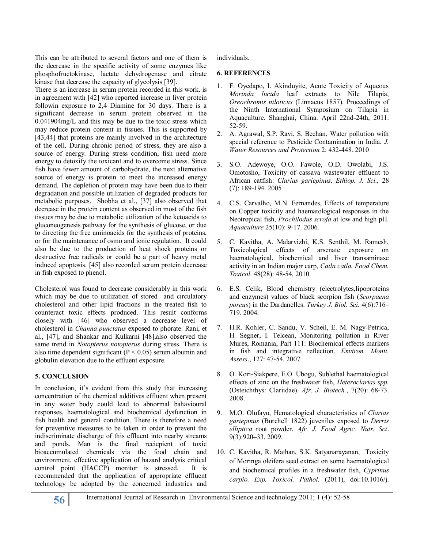This can be attributed to several factors and one of them is the decrease in the specific activity of some enzymes like phosphofructokinase, lactate dehydrogenase and citrate kinase that decrease the capacity of glycolysis [39].

There is an increase in serum protein recorded in this work. is in agreement with [42] who reported increase in liver protein followin exposure to 2,4 Diamine for 30 days. There is a significant decrease in serum protein observed in the 0.041904mg/L and this may be due to the toxic stress which may reduce protein content in tissues. This is supported by [43,44] that proteins are mainly involved in the architecture of the cell. During chronic period of stress, they are also a source of energy. During stress condition, fish need more energy to detoxify the toxicant and to overcome stress. Since fish have fewer amount of carbohydrate, the next alternative source of energy is protein to meet the increased energy demand. The depletion of protein may have been due to their degradation and possible utilization of degraded products for metabolic purposes. Shobha et al., [37] also observed that decrease in the protein content as observed in most of the fish tissues may be due to metabolic utilization of the ketoacids to gluconeogenesis pathway for the synthesis of glucose, or due to directing the free aminoacids for the synthesis of proteins, or for the maintenance of osmo and ionic regulation. It could also be due to the production of heat shock proteins or destructive free radicals or could be a part of heavy metal induced apoptosis. [45] also recorded serum protein decrease in fish exposed to phenol.

Cholesterol was found to decrease considerably in this work which may be due to utilization of stored and circulatory cholesterol and other lipid fractions in the treated fish to counteract toxic effects produced. This result conforms closely with [46] who observed a decrease level of cholesterol in *Channa punctatus* exposed to phorate. Rani, et al., [47], and Shankar and Kulkarni [48],also observed the same trend in *Notopterus notopterus* during stress. There is also time dependent significant ( $P < 0.05$ ) serum albumin and globulin elevation due to the effluent exposure.

## **5. CONCLUSION**

In conclusion, it's evident from this study that increasing concentration of the chemical additives effluent when present in any water body could lead to abnormal bahavioural responses, haematological and biochemical dysfunction in fish health and general condition. There is therefore a need for preventive measures to be taken in order to prevent the indiscriminate discharge of this effluent into nearby streams and ponds. Man is the final reciepient of toxic bioaccumulated chemicals via the food chain and environment, effective application of hazard analysis critical control point (HACCP) monitor is stressed. It is recommended that the application of appropriate effluent technology be adopted by the concerned industries and individuals.

#### **6. REFERENCES**

- 1. F. Oyedapo, I. Akinduyite, Acute Toxicity of Aqueous *Morinda lucida* leaf extracts to Nile Tilapia, *Oreochromis niloticus* (Linnaeus 1857). Proceedings of the Ninth International Symposium on Tilapia in Aquaculture. Shanghai, China. April 22nd-24th, 2011. 52-59.
- 2. A. Agrawal, S.P. Ravi, S. Bechan, Water pollution with special reference to Pesticide Contamination in India. *J. Water Resources and Protection* 2: 432-448. 2010
- 3. S.O. Adewoye, O.O. Fawole, O.D. Owolabi, J.S. Omotosho, Toxicity of cassava wastewater effluent to African catfish: *Clarias gariepinus*. *Ethiop. J. Sci.,* 28 (7): 189-194. 2005
- 4. C.S. Carvalho, M.N. Fernandes, Effects of temperature on Copper toxicity and haematological responses in the Neotropical fish, *Prochilodus scrofa* at low and high pH. *Aquaculture* 25(10): 9-17. 2006.
- 5. C. Kavitha, A. Malarvizhi, K.S. Senthil, M. Ramesh, Toxicological effects of arsenate exposure on haematological, biochemical and liver transaminase activity in an Indian major carp, *Catla catla. Food Chem. Toxicol*. 48(28): 48-54. 2010.
- 6. E.S. Celik, Blood chemistry (electrolytes,lipoproteins and enzymes) values of black scorpion fish (*Scorpaena porcus*) in the Dardanelles. *Turkey J. Biol. Sci.* 4(6):716– 719. 2004.
- 7. H.R. Kohler, C. Sandu, V. Scheil, E. M. Nagy-Petrica, H. Segner, I. Telcean, Monitoring pollution in River Mures, Romania, Part 111: Biochemical effects markers in fish and integrative reflection. *Environ. Monit. Assess*., 127: 47-54. 2007.
- 8. O. Kori-Siakpere, E.O. Ubogu, Sublethal haematological effects of zinc on the freshwater fish, *Heteroclarias spp.* (Osteichthys: Clariidae). *Afr. J. Biotech.*, 7(20): 68-73. 2008.
- 9. M.O. Olufayo, Hematological characteristics of *Clarias gariepinus* (Burchell 1822) juveniles exposed to *Derris elliptica* root powder. *Afr. J. Food Agric. Nutr. Sci*. 9(3):920–33. 2009.
- 10. C. Kavitha, R. Mathan, S.K. Satyanarayanan, Toxicity of Moringa oleifera seed extract on some haematological and biochemical profiles in a freshwater fish, *Cyprinus carpio. Exp. Toxicol. Pathol.* (2011), doi:10.1016/j.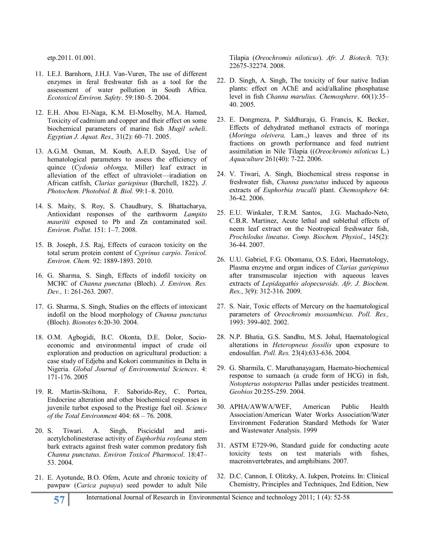etp.2011. 01.001.

- 11. I.E.J. Barnhorn, J.H.J. Van-Vuren, The use of different enzymes in feral freshwater fish as a tool for the assessment of water pollution in South Africa. *Ecotoxicol Environ. Safety*. 59:180–5. 2004.
- 12. E.H. Abou El-Naga, K.M. El-Moselhy, M.A. Hamed, Toxicity of cadmium and copper and their effect on some biochemical parameters of marine fish *Mugil seheli*. *Egyptian J. Aquat. Res.,* 31(2): 60–71. 2005.
- 13. A.G.M. Osman, M. Koutb, A.E.D. Sayed, Use of hematological parameters to assess the efficiency of quince (*Cydonia oblonga,* Miller) leaf extract in alleviation of the effect of ultraviolet—iradiation on African catfish, *Clarias gariepinus* (Burchell, 1822). *J. Photochem. Photobiol. B. Biol.* 99:1–8. 2010.
- 14. S. Maity, S. Roy, S. Chaudhury, S. Bhattacharya, Antioxidant responses of the earthworm *Lampito mauritii* exposed to Pb and Zn contaminated soil. *Environ. Pollut*. 151: 1–7. 2008.
- 15. B. Joseph, J.S. Raj, Effects of curacon toxicity on the total serum protein content of *Cyprinus carpio*. *Toxicol. Environ. Chem.* 92: 1889-1893. 2010.
- 16. G. Sharma, S. Singh, Effects of indofil toxicity on MCHC of *Channa punctatus* (Bloch). *J. Environ. Res. Dev.,* 1: 261-263. 2007.
- 17. G. Sharma, S. Singh, Studies on the effects of intoxicant indofil on the blood morphology of *Channa punctatus* (Bloch). *Bionotes* 6:20-30. 2004.
- 18. O.M. Agbogidi, B.C. Okonta, D.E. Dolor, Socioeconomic and environmental impact of crude oil exploration and production on agricultural production: a case study of Edjeba and Kokori communities in Delta in Nigeria. *Global Journal of Environmental Sciences*. 4: 171-176. 2005
- 19. R. Martin-Skiltona, F. Saborido-Rey, C. Portea, Endocrine alteration and other biochemical responses in juvenile turbot exposed to the Prestige fuel oil. *Science of the Total Environment* 404: 68 – 76. 2008.
- 20. S. Tiwari. A. Singh, Piscicidal and antiacetylcholinesterase activity of *Euphorbia royleana* stem bark extracts against fresh water common predatory fish *Channa punctatus*. *Environ Toxicol Pharmocol*. 18:47– 53. 2004.
- 21. E. Ayotunde, B.O. Ofem, Acute and chronic toxicity of pawpaw (*Carica papaya*) seed powder to adult Nile

Tilapia (*Oreochromis niloticus*). *Afr. J. Biotech*. 7(3): 22675-32274. 2008.

- 22. D. Singh, A. Singh, The toxicity of four native Indian plants: effect on AChE and acid/alkaline phosphatase level in fish *Channa marulius. Chemosphere*. 60(1):35– 40. 2005.
- 23. E. Dongmeza, P. Siddhuraju, G. Francis, K. Becker, Effects of dehydrated methanol extracts of moringa (*Moringa oleivera,* Lam.,) leaves and three of its fractions on growth performance and feed nutrient assimilation in Nile Tilapia ((*Oreochromis niloticus* L.) *Aquaculture* 261(40): 7-22. 2006.
- 24. V. Tiwari, A. Singh, Biochemical stress response in freshwater fish, *Channa punctatus* induced by aqueous extracts of *Euphorbia trucalli* plant. *Chemosphere* 64: 36-42. 2006.
- 25. E.U. Winkaler, T.R.M. Santos, J.G. Machado-Neto, C.B.R. Martinez, Acute lethal and sublethal effects of neem leaf extract on the Neotropical freshwater fish, *Prochilodus lineatus*. *Comp. Biochem. Physiol*., 145(2): 36-44. 2007.
- 26. U.U. Gabriel, F.G. Obomanu, O.S. Edori, Haematology, Plasma enzyme and organ indices of *Clarias gariepinus* after transmuscular injection with aqueous leaves extracts of *Lepidagathis alopecuroids*. *Afr. J. Biochem. Res.*, 3(9): 312-316. 2009.
- 27. S. Nair, Toxic effects of Mercury on the haematological parameters of *Oreochromis mossambicus*. *Poll. Res.,* 1993: 399-402. 2002.
- 28. N.P. Bhatia, G.S. Sandhu, M.S. Johal, Haematological alterations in *Heteropneus fossilis* upon exposure to endosulfan. *Poll. Res.* 23(4):633-636. 2004.
- 29. G. Sharmila, C. Maruthanayagam, Haemato-biochemical response to sumaach (a crude form of HCG) in fish, *Notopterus notopterus* Pallas under pesticides treatment. *Geobios* 20:255-259. 2004.
- 30. APHA/AWWA/WEF, American Public Health Association/American Water Works Association/Water Environment Federation Standard Methods for Water and Wastewater Analysis. 1999
- 31. ASTM E729-96, Standard guide for conducting acute toxicity tests on test materials with fishes, macroinvertebrates, and amphibians. 2007.
- 32. D.C. Cannon, I. Olitzky, A. Iukpen, Proteins. In: Clinical Chemistry, Principles and Techniques, 2nd Edition, New